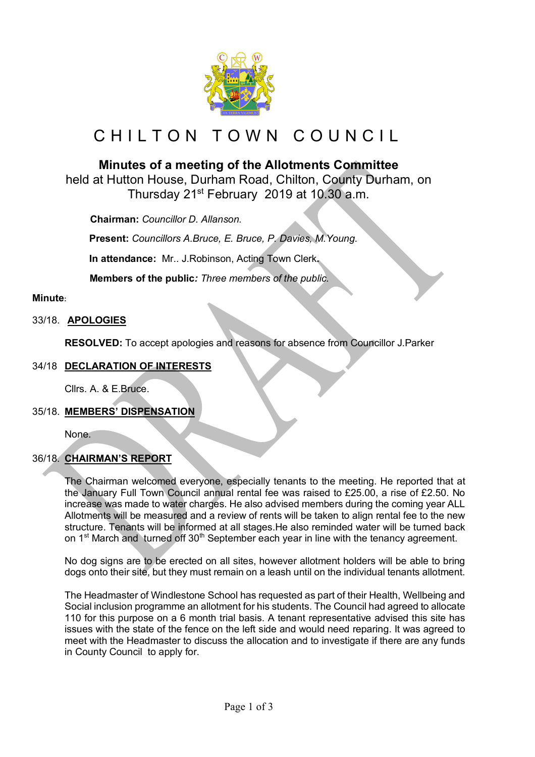

# CHILTON TOWN COUNCIL

# **Minutes of a meeting of the Allotments Committee**

held at Hutton House, Durham Road, Chilton, County Durham, on Thursday 21st February 2019 at 10.30 a.m.

 **Chairman:** *Councillor D. Allanson.*

**Present:** *Councillors A.Bruce, E. Bruce, P. Davies, M.Young.*

**In attendance:** Mr.. J.Robinson, Acting Town Clerk**.**

 **Members of the public***: Three members of the public.*

# **Minute:**

# 33/18. **APOLOGIES**

**RESOLVED:** To accept apologies and reasons for absence from Councillor J.Parker

# 34/18 **DECLARATION OF INTERESTS**

Cllrs. A. & E.Bruce.

# 35/18. **MEMBERS' DISPENSATION**

None.

# 36/18. **CHAIRMAN'S REPORT**

The Chairman welcomed everyone, especially tenants to the meeting. He reported that at the January Full Town Council annual rental fee was raised to £25.00, a rise of £2.50. No increase was made to water charges. He also advised members during the coming year ALL Allotments will be measured and a review of rents will be taken to align rental fee to the new structure. Tenants will be informed at all stages.He also reminded water will be turned back on 1<sup>st</sup> March and turned off 30<sup>th</sup> September each year in line with the tenancy agreement.

No dog signs are to be erected on all sites, however allotment holders will be able to bring dogs onto their site, but they must remain on a leash until on the individual tenants allotment.

The Headmaster of Windlestone School has requested as part of their Health, Wellbeing and Social inclusion programme an allotment for his students. The Council had agreed to allocate 110 for this purpose on a 6 month trial basis. A tenant representative advised this site has issues with the state of the fence on the left side and would need reparing. It was agreed to meet with the Headmaster to discuss the allocation and to investigate if there are any funds in County Council to apply for.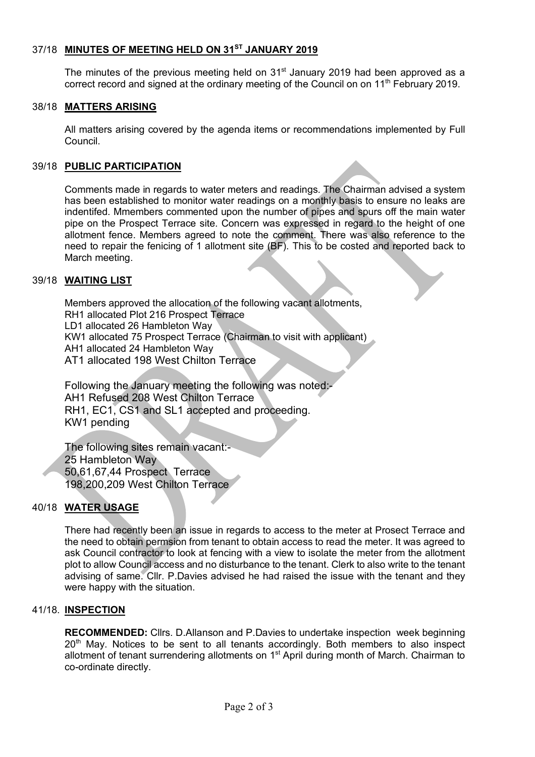# 37/18 **MINUTES OF MEETING HELD ON 31ST JANUARY 2019**

The minutes of the previous meeting held on  $31<sup>st</sup>$  January 2019 had been approved as a correct record and signed at the ordinary meeting of the Council on on 11<sup>th</sup> February 2019.

#### 38/18 **MATTERS ARISING**

All matters arising covered by the agenda items or recommendations implemented by Full Council.

#### 39/18 **PUBLIC PARTICIPATION**

Comments made in regards to water meters and readings. The Chairman advised a system has been established to monitor water readings on a monthly basis to ensure no leaks are indentifed. Mmembers commented upon the number of pipes and spurs off the main water pipe on the Prospect Terrace site. Concern was expressed in regard to the height of one allotment fence. Members agreed to note the comment. There was also reference to the need to repair the fenicing of 1 allotment site (BF). This to be costed and reported back to March meeting.

#### 39/18 **WAITING LIST**

Members approved the allocation of the following vacant allotments, RH1 allocated Plot 216 Prospect Terrace LD1 allocated 26 Hambleton Way KW1 allocated 75 Prospect Terrace (Chairman to visit with applicant) AH1 allocated 24 Hambleton Way AT1 allocated 198 West Chilton Terrace

Following the January meeting the following was noted: AH1 Refused 208 West Chilton Terrace RH1, EC1, CS1 and SL1 accepted and proceeding. KW1 pending

The following sites remain vacant:- 25 Hambleton Way 50,61,67,44 Prospect Terrace 198,200,209 West Chilton Terrace

# 40/18 **WATER USAGE**

There had recently been an issue in regards to access to the meter at Prosect Terrace and the need to obtain permsion from tenant to obtain access to read the meter. It was agreed to ask Council contractor to look at fencing with a view to isolate the meter from the allotment plot to allow Council access and no disturbance to the tenant. Clerk to also write to the tenant advising of same. Cllr. P.Davies advised he had raised the issue with the tenant and they were happy with the situation.

#### 41/18. **INSPECTION**

**RECOMMENDED:** Cllrs. D.Allanson and P.Davies to undertake inspection week beginning  $20<sup>th</sup>$  May. Notices to be sent to all tenants accordingly. Both members to also inspect allotment of tenant surrendering allotments on 1<sup>st</sup> April during month of March. Chairman to co-ordinate directly.